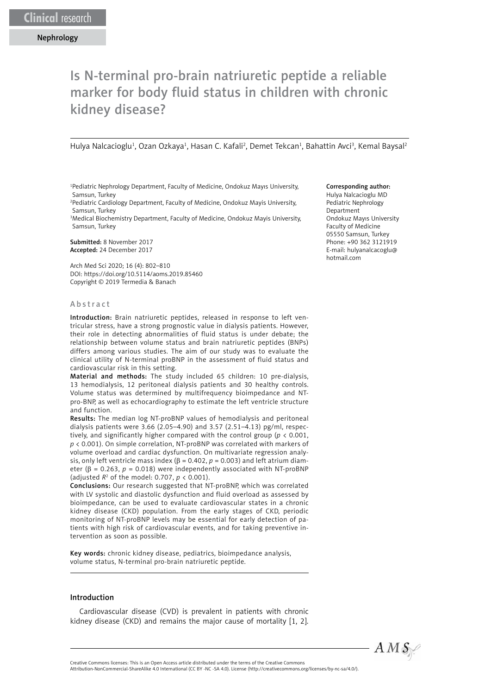# Is N-terminal pro-brain natriuretic peptide a reliable marker for body fluid status in children with chronic kidney disease?

Hulya Nalcacioglu<sup>1</sup>, Ozan Ozkaya<sup>1</sup>, Hasan C. Kafali<sup>2</sup>, Demet Tekcan<sup>1</sup>, Bahattin Avci<sup>3</sup>, Kemal Baysal<sup>2</sup>

1 Pediatric Nephrology Department, Faculty of Medicine, Ondokuz Mayıs University, Samsun, Turkey

2 Pediatric Cardiology Department, Faculty of Medicine, Ondokuz Mayis University, Samsun, Turkey

3 Medical Biochemistry Department, Faculty of Medicine, Ondokuz Mayis University, Samsun, Turkey

Submitted: 8 November 2017 Accepted: 24 December 2017

Arch Med Sci 2020; 16 (4): 802–810 DOI: https://doi.org/10.5114/aoms.2019.85460 Copyright © 2019 Termedia & Banach

#### Abstract

Introduction: Brain natriuretic peptides, released in response to left ventricular stress, have a strong prognostic value in dialysis patients. However, their role in detecting abnormalities of fluid status is under debate; the relationship between volume status and brain natriuretic peptides (BNPs) differs among various studies. The aim of our study was to evaluate the clinical utility of N-terminal proBNP in the assessment of fluid status and cardiovascular risk in this setting.

Material and methods: The study included 65 children: 10 pre-dialysis, 13 hemodialysis, 12 peritoneal dialysis patients and 30 healthy controls. Volume status was determined by multifrequency bioimpedance and NTpro-BNP, as well as echocardiography to estimate the left ventricle structure and function.

Results: The median log NT-proBNP values of hemodialysis and peritoneal dialysis patients were 3.66 (2.05–4.90) and 3.57 (2.51–4.13) pg/ml, respectively, and significantly higher compared with the control group (*p* < 0.001, *p* < 0.001). On simple correlation, NT-proBNP was correlated with markers of volume overload and cardiac dysfunction. On multivariate regression analysis, only left ventricle mass index ( $β = 0.402$ ,  $p = 0.003$ ) and left atrium diameter ( $β = 0.263$ ,  $p = 0.018$ ) were independently associated with NT-proBNP (adjusted *R*<sup>2</sup> of the model: 0.707, *p* < 0.001).

Conclusions: Our research suggested that NT-proBNP, which was correlated with LV systolic and diastolic dysfunction and fluid overload as assessed by bioimpedance, can be used to evaluate cardiovascular states in a chronic kidney disease (CKD) population. From the early stages of CKD, periodic monitoring of NT-proBNP levels may be essential for early detection of patients with high risk of cardiovascular events, and for taking preventive intervention as soon as possible.

Key words: chronic kidney disease, pediatrics, bioimpedance analysis, volume status, N-terminal pro-brain natriuretic peptide.

#### Introduction

Cardiovascular disease (CVD) is prevalent in patients with chronic kidney disease (CKD) and remains the major cause of mortality [1, 2].

#### Corresponding author:

Hulya Nalcacioglu MD Pediatric Nephrology Department Ondokuz Mayıs University Faculty of Medicine 05550 Samsun, Turkey Phone: +90 362 3121919 E-mail: hulyanalcacoglu@ hotmail.com

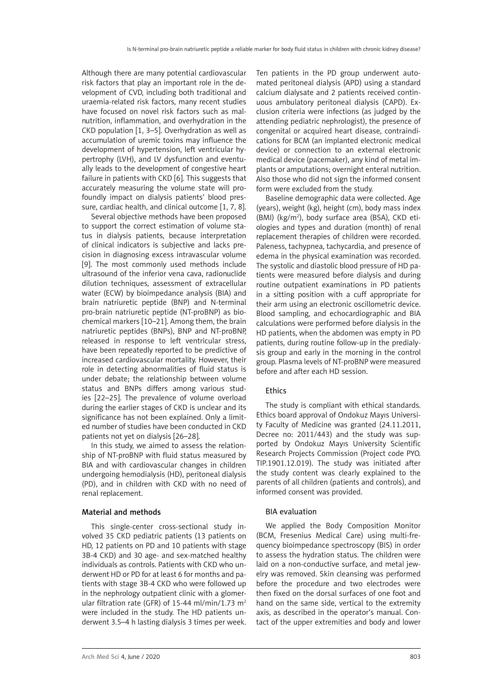Although there are many potential cardiovascular risk factors that play an important role in the development of CVD, including both traditional and uraemia-related risk factors, many recent studies have focused on novel risk factors such as malnutrition, inflammation, and overhydration in the CKD population [1, 3–5]. Overhydration as well as accumulation of uremic toxins may influence the development of hypertension, left ventricular hypertrophy (LVH), and LV dysfunction and eventually leads to the development of congestive heart failure in patients with CKD [6]. This suggests that accurately measuring the volume state will profoundly impact on dialysis patients' blood pressure, cardiac health, and clinical outcome [1, 7, 8].

Several objective methods have been proposed to support the correct estimation of volume status in dialysis patients, because interpretation of clinical indicators is subjective and lacks precision in diagnosing excess intravascular volume [9]. The most commonly used methods include ultrasound of the inferior vena cava, radionuclide dilution techniques, assessment of extracellular water (ECW) by bioimpedance analysis (BIA) and brain natriuretic peptide (BNP) and N-terminal pro-brain natriuretic peptide (NT-proBNP) as biochemical markers [10–21]. Among them, the brain natriuretic peptides (BNPs), BNP and NT-proBNP, released in response to left ventricular stress, have been repeatedly reported to be predictive of increased cardiovascular mortality. However, their role in detecting abnormalities of fluid status is under debate; the relationship between volume status and BNPs differs among various studies [22–25]. The prevalence of volume overload during the earlier stages of CKD is unclear and its significance has not been explained. Only a limited number of studies have been conducted in CKD patients not yet on dialysis [26–28].

In this study, we aimed to assess the relationship of NT-proBNP with fluid status measured by BIA and with cardiovascular changes in children undergoing hemodialysis (HD), peritoneal dialysis (PD), and in children with CKD with no need of renal replacement.

# Material and methods

This single-center cross-sectional study involved 35 CKD pediatric patients (13 patients on HD, 12 patients on PD and 10 patients with stage 3B-4 CKD) and 30 age- and sex-matched healthy individuals as controls. Patients with CKD who underwent HD or PD for at least 6 for months and patients with stage 3B-4 CKD who were followed up in the nephrology outpatient clinic with a glomerular filtration rate (GFR) of 15-44 ml/min/1.73 m<sup>2</sup> were included in the study. The HD patients underwent 3.5–4 h lasting dialysis 3 times per week. Ten patients in the PD group underwent automated peritoneal dialysis (APD) using a standard calcium dialysate and 2 patients received continuous ambulatory peritoneal dialysis (CAPD). Exclusion criteria were infections (as judged by the attending pediatric nephrologist), the presence of congenital or acquired heart disease, contraindications for BCM (an implanted electronic medical device) or connection to an external electronic medical device (pacemaker), any kind of metal implants or amputations; overnight enteral nutrition. Also those who did not sign the informed consent form were excluded from the study.

Baseline demographic data were collected. Age (years), weight (kg), height (cm), body mass index (BMI) (kg/m2 ), body surface area (BSA), CKD etiologies and types and duration (month) of renal replacement therapies of children were recorded. Paleness, tachypnea, tachycardia, and presence of edema in the physical examination was recorded. The systolic and diastolic blood pressure of HD patients were measured before dialysis and during routine outpatient examinations in PD patients in a sitting position with a cuff appropriate for their arm using an electronic oscillometric device. Blood sampling, and echocardiographic and BIA calculations were performed before dialysis in the HD patients, when the abdomen was empty in PD patients, during routine follow-up in the predialysis group and early in the morning in the control group. Plasma levels of NT-proBNP were measured before and after each HD session.

# **Ethics**

The study is compliant with ethical standards. Ethics board approval of Ondokuz Mayıs University Faculty of Medicine was granted (24.11.2011, Decree no: 2011/443) and the study was supported by Ondokuz Mayıs University Scientific Research Projects Commission (Project code PYO. TIP.1901.12.019). The study was initiated after the study content was clearly explained to the parents of all children (patients and controls), and informed consent was provided.

# BIA evaluation

We applied the Body Composition Monitor (BCM, Fresenius Medical Care) using multi-frequency bioimpedance spectroscopy (BIS) in order to assess the hydration status. The children were laid on a non-conductive surface, and metal jewelry was removed. Skin cleansing was performed before the procedure and two electrodes were then fixed on the dorsal surfaces of one foot and hand on the same side, vertical to the extremity axis, as described in the operator's manual. Contact of the upper extremities and body and lower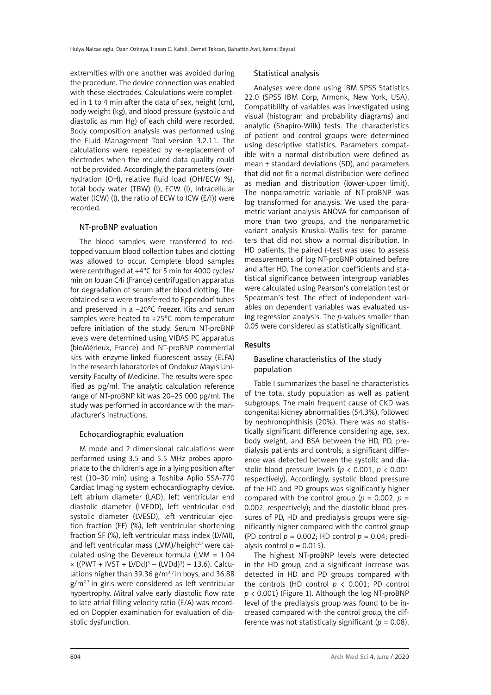extremities with one another was avoided during the procedure. The device connection was enabled with these electrodes. Calculations were completed in 1 to 4 min after the data of sex, height (cm), body weight (kg), and blood pressure (systolic and diastolic as mm Hg) of each child were recorded. Body composition analysis was performed using the Fluid Management Tool version 3.2.11. The calculations were repeated by re-replacement of electrodes when the required data quality could not be provided. Accordingly, the parameters (overhydration (OH), relative fluid load (OH/ECW %), total body water (TBW) (l), ECW (l), intracellular water (ICW) (l), the ratio of ECW to ICW (E/I)) were recorded.

# NT-proBNP evaluation

The blood samples were transferred to redtopped vacuum blood collection tubes and clotting was allowed to occur. Complete blood samples were centrifuged at +4°C for 5 min for 4000 cycles/ min on Jouan C4i (France) centrifugation apparatus for degradation of serum after blood clotting. The obtained sera were transferred to Eppendorf tubes and preserved in a –20°C freezer. Kits and serum samples were heated to +25°C room temperature before initiation of the study. Serum NT-proBNP levels were determined using VIDAS PC apparatus (bioMérieux, France) and NT-proBNP commercial kits with enzyme-linked fluorescent assay (ELFA) in the research laboratories of Ondokuz Mayıs University Faculty of Medicine. The results were specified as pg/ml. The analytic calculation reference range of NT-proBNP kit was 20–25 000 pg/ml. The study was performed in accordance with the manufacturer's instructions.

## Echocardiographic evaluation

M mode and 2 dimensional calculations were performed using 3.5 and 5.5 MHz probes appropriate to the children's age in a lying position after rest (10–30 min) using a Toshiba Aplio SSA-770 Cardiac Imaging system echocardiography device. Left atrium diameter (LAD), left ventricular end diastolic diameter (LVEDD), left ventricular end systolic diameter (LVESD), left ventricular ejection fraction (EF) (%), left ventricular shortening fraction SF (%), left ventricular mass index (LVMI), and left ventricular mass (LVM)/height<sup>2.7</sup> were calculated using the Devereux formula (LVM = 1.04  $\times$  ((PWT + IVST + LVDd)<sup>3</sup> – (LVDd)<sup>3</sup>) – 13.6). Calculations higher than 39.36  $g/m^{2.7}$  in boys, and 36.88  $g/m^{2.7}$  in girls were considered as left ventricular hypertrophy. Mitral valve early diastolic flow rate to late atrial filling velocity ratio (E/A) was recorded on Doppler examination for evaluation of diastolic dysfunction.

## Statistical analysis

Analyses were done using IBM SPSS Statistics 22.0 (SPSS IBM Corp, Armonk, New York, USA). Compatibility of variables was investigated using visual (histogram and probability diagrams) and analytic (Shapiro-Wilk) tests. The characteristics of patient and control groups were determined using descriptive statistics. Parameters compatible with a normal distribution were defined as mean ± standard deviations (SD), and parameters that did not fit a normal distribution were defined as median and distribution (lower-upper limit). The nonparametric variable of NT-proBNP was log transformed for analysis. We used the parametric variant analysis ANOVA for comparison of more than two groups, and the nonparametric variant analysis Kruskal-Wallis test for parameters that did not show a normal distribution. In HD patients, the paired *t*-test was used to assess measurements of log NT-proBNP obtained before and after HD. The correlation coefficients and statistical significance between intergroup variables were calculated using Pearson's correlation test or Spearman's test. The effect of independent variables on dependent variables was evaluated using regression analysis. The *p*-values smaller than 0.05 were considered as statistically significant.

## Results

# Baseline characteristics of the study population

Table I summarizes the baseline characteristics of the total study population as well as patient subgroups. The main frequent cause of CKD was congenital kidney abnormalities (54.3%), followed by nephronophthisis (20%). There was no statistically significant difference considering age, sex, body weight, and BSA between the HD, PD, predialysis patients and controls; a significant difference was detected between the systolic and diastolic blood pressure levels (*p* < 0.001, *p* < 0.001 respectively). Accordingly, systolic blood pressure of the HD and PD groups was significantly higher compared with the control group ( $p = 0.002$ ,  $p =$ 0.002, respectively); and the diastolic blood pressures of PD, HD and predialysis groups were significantly higher compared with the control group (PD control *p* = 0.002; HD control *p* = 0.04; predialysis control  $p = 0.015$ ).

The highest NT-proBNP levels were detected in the HD group, and a significant increase was detected in HD and PD groups compared with the controls (HD control *p* < 0.001; PD control *p* < 0.001) (Figure 1). Although the log NT-proBNP level of the predialysis group was found to be increased compared with the control group, the difference was not statistically significant ( $p = 0.08$ ).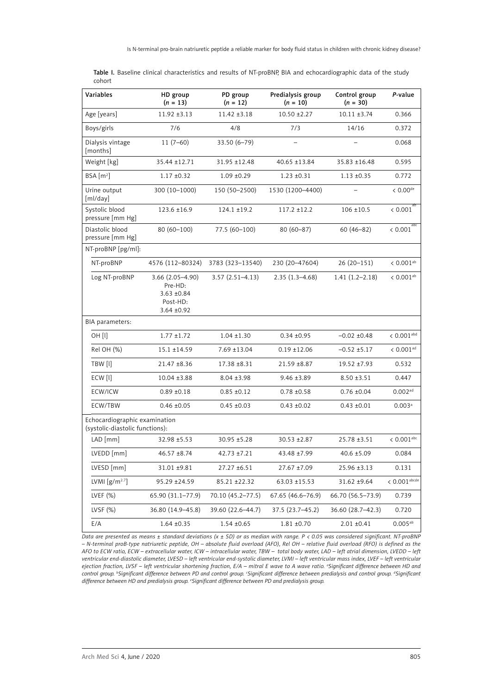| Variables                                                        | HD group<br>$(n = 13)$                                                       | PD group<br>$(n = 12)$ | Predialysis group<br>$(n = 10)$ | Control group<br>$(n = 30)$ | P-value                  |
|------------------------------------------------------------------|------------------------------------------------------------------------------|------------------------|---------------------------------|-----------------------------|--------------------------|
| Age [years]                                                      | $11.92 \pm 3.13$                                                             | $11.42 \pm 3.18$       | $10.50 \pm 2.27$                | $10.11 \pm 3.74$            | 0.366                    |
| Boys/girls                                                       | 7/6                                                                          | 4/8                    | 7/3                             | 14/16                       | 0.372                    |
| Dialysis vintage<br>[months]                                     | $11(7-60)$                                                                   | $33.50(6 - 79)$        | $\equiv$                        |                             | 0.068                    |
| Weight [kg]                                                      | 35.44 ±12.71                                                                 | 31.95 ±12.48           | 40.65 ±13.84                    | 35.83 ±16.48                | 0.595                    |
| BSA [m <sup>2</sup> ]                                            | $1.17 \pm 0.32$                                                              | $1.09 \pm 0.29$        | $1.23 \pm 0.31$                 | $1.13 \pm 0.35$             | 0.772                    |
| Urine output<br>[ml/day]                                         | 300 (10-1000)                                                                | 150 (50-2500)          | 1530 (1200-4400)                |                             | $< 0.00$ <sup>de</sup>   |
| Systolic blood<br>pressure [mm Hg]                               | 123.6 ±16.9                                                                  | $124.1 \pm 19.2$       | $117.2 \pm 12.2$                | $106 \pm 10.5$              | ab<br>< 0.001            |
| Diastolic blood<br>pressure [mm Hg]                              | 80 (60-100)                                                                  | 77.5 (60-100)          | $80(60 - 87)$                   | $60(46 - 82)$               | abc<br>$< 0.001\,$       |
| NT-proBNP [pg/ml]:                                               |                                                                              |                        |                                 |                             |                          |
| NT-proBNP                                                        | 4576 (112-80324)                                                             | 3783 (323-13540)       | 230 (20-47604)                  | $26(20-151)$                | $< 0.001^{\rm ab}$       |
| Log NT-proBNP                                                    | $3.66(2.05-4.90)$<br>Pre-HD:<br>$3.63 + 0.84$<br>Post-HD:<br>$3.64 \pm 0.92$ | $3.57(2.51 - 4.13)$    | $2.35(1.3-4.68)$                | $1.41(1.2 - 2.18)$          | $< 0.001^{ab}$           |
| BIA parameters:                                                  |                                                                              |                        |                                 |                             |                          |
| OH [l]                                                           | $1.77 \pm 1.72$                                                              | $1.04 \pm 1.30$        | $0.34 + 0.95$                   | $-0.02 \pm 0.48$            | $< 0.001^{\mathrm{abd}}$ |
| Rel OH (%)                                                       | $15.1 \pm 14.59$                                                             | $7.69 \pm 13.04$       | $0.19 \pm 12.06$                | $-0.52 \pm 5.17$            | $< 0.001^{\rm ad}$       |
| TBW [l]                                                          | 21.47 ±8.36                                                                  | 17.38 ±8.31            | $21.59 + 8.87$                  | $19.52 + 7.93$              | 0.532                    |
| ECW [l]                                                          | $10.04 \pm 3.88$                                                             | $8.04 \pm 3.98$        | $9.46 \pm 3.89$                 | $8.50 \pm 3.51$             | 0.447                    |
| ECW/ICW                                                          | $0.89 \pm 0.18$                                                              | $0.85 \pm 0.12$        | $0.78 + 0.58$                   | $0.76 \pm 0.04$             | $0.002^{ad}$             |
| ECW/TBW                                                          | $0.46 \pm 0.05$                                                              | $0.45 \pm 0.03$        | $0.43 + 0.02$                   | $0.43 \pm 0.01$             | 0.003 <sup>a</sup>       |
| Echocardiographic examination<br>(systolic-diastolic functions): |                                                                              |                        |                                 |                             |                          |
| $LAD$ [mm]                                                       | 32.98 ±5.53                                                                  | 30.95 ±5.28            | $30.53 + 2.87$                  | 25.78 ±3.51                 | $< 0.001$ <sup>abc</sup> |
| LVEDD [mm]                                                       | $46.57 + 8.74$                                                               | $42.73 + 7.21$         | 43.48 ±7.99                     | $40.6 \pm 5.09$             | 0.084                    |
| LVESD [mm]                                                       | 31.01 ±9.81                                                                  | 27.27 ±6.51            | 27.67 ±7.09                     | 25.96 ±3.13                 | 0.131                    |
| LVMI $[g/m^{2.7}]$                                               | 95.29 ±24.59                                                                 | 85.21 ±22.32           | 63.03 ±15.53                    | 31.62 ±9.64                 | $< 0.001$ abcde          |
| LVEF $(%)$                                                       | 65.90 (31.1–77.9)                                                            | 70.10 (45.2-77.5)      | 67.65 (46.6-76.9)               | 66.70 (56.5-73.9)           | 0.739                    |
| LVSF $(%)$                                                       | 36.80 (14.9-45.8)                                                            | 39.60 (22.6-44.7)      | 37.5 (23.7-45.2)                | 36.60 (28.7-42.3)           | 0.720                    |
| E/A                                                              | $1.64 \pm 0.35$                                                              | $1.54 \pm 0.65$        | $1.81 \pm 0.70$                 | $2.01 \pm 0.41$             | $0.005^{ab}$             |

Table I. Baseline clinical characteristics and results of NT-proBNP, BIA and echocardiographic data of the study cohort

*Data are presented as means ± standard deviations (x ± SD) or as median with range. P < 0.05 was considered significant. NT-proBNP – N-terminal proB-type natriuretic peptide, OH – absolute fluid overload (AFO), Rel OH – relative fluid overload (RFO) is defined as the AFO to ECW ratio, ECW – extracellular water, ICW – intracellular water, TBW – total body water, LAD – left atrial dimension, LVEDD – left ventricular end-diastolic diameter, LVESD – left ventricular end-systolic diameter, LVMI – left ventricular mass index, LVEF – left ventricular ejection fraction, LVSF – left ventricular shortening fraction, E/A – mitral E wave to A wave ratio. a Significant difference between HD and control group. b Significant difference between PD and control group. c Significant difference between predialysis and control group. d Significant difference between HD and predialysis group. e Significant difference between PD and predialysis group.*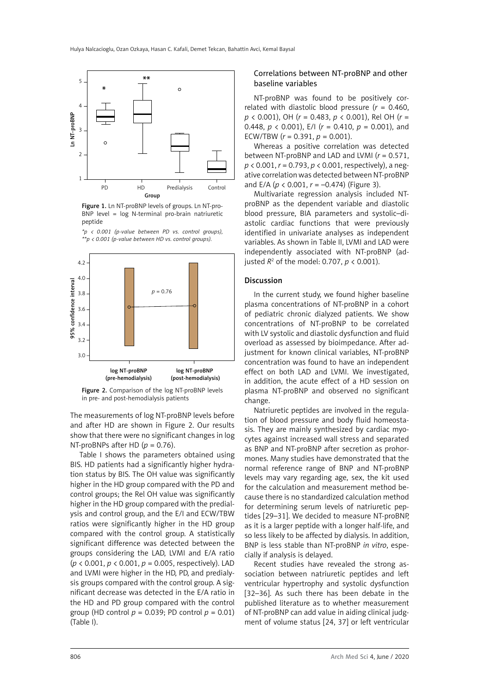

Figure 1. Ln NT-proBNP levels of groups. Ln NT-pro-BNP level = log N-terminal pro-brain natriuretic peptide



*\*p < 0.001 (p-value between PD vs. control groups), \*\*p < 0.001 (p-value between HD vs. control groups).*

#### Figure 2. Comparison of the log NT-proBNP levels in pre- and post-hemodialysis patients

The measurements of log NT-proBNP levels before and after HD are shown in Figure 2. Our results show that there were no significant changes in log NT-proBNPs after HD  $(p = 0.76)$ .

Table I shows the parameters obtained using BIS. HD patients had a significantly higher hydration status by BIS. The OH value was significantly higher in the HD group compared with the PD and control groups; the Rel OH value was significantly higher in the HD group compared with the predialysis and control group, and the E/I and ECW/TBW ratios were significantly higher in the HD group compared with the control group. A statistically significant difference was detected between the groups considering the LAD, LVMI and E/A ratio (*p* < 0.001, *p* < 0.001, *p* = 0.005, respectively). LAD and LVMI were higher in the HD, PD, and predialysis groups compared with the control group. A significant decrease was detected in the E/A ratio in the HD and PD group compared with the control group (HD control  $p = 0.039$ ; PD control  $p = 0.01$ ) (Table I).

## Correlations between NT-proBNP and other baseline variables

NT-proBNP was found to be positively correlated with diastolic blood pressure  $(r = 0.460,$ *p* < 0.001), OH (*r* = 0.483, *p* < 0.001), Rel OH (*r* = 0.448, *p* < 0.001), E/I (*r* = 0.410, *p* = 0.001), and ECW/TBW  $(r = 0.391, p = 0.001)$ .

Whereas a positive correlation was detected between NT-proBNP and LAD and LVMI (*r* = 0.571, *p* < 0.001, *r* = 0.793, *p* < 0.001, respectively), a negative correlation was detected between NT-proBNP and E/A (*p* < 0.001, *r* = –0.474) (Figure 3).

Multivariate regression analysis included NTproBNP as the dependent variable and diastolic blood pressure, BIA parameters and systolic–diastolic cardiac functions that were previously identified in univariate analyses as independent variables. As shown in Table II, LVMI and LAD were independently associated with NT-proBNP (adjusted *R*<sup>2</sup> of the model: 0.707, *p* < 0.001).

#### Discussion

In the current study, we found higher baseline plasma concentrations of NT-proBNP in a cohort of pediatric chronic dialyzed patients. We show concentrations of NT-proBNP to be correlated with LV systolic and diastolic dysfunction and fluid overload as assessed by bioimpedance. After adjustment for known clinical variables, NT-proBNP concentration was found to have an independent effect on both LAD and LVMI. We investigated, in addition, the acute effect of a HD session on plasma NT-proBNP and observed no significant change.

Natriuretic peptides are involved in the regulation of blood pressure and body fluid homeostasis. They are mainly synthesized by cardiac myocytes against increased wall stress and separated as BNP and NT-proBNP after secretion as prohormones. Many studies have demonstrated that the normal reference range of BNP and NT-proBNP levels may vary regarding age, sex, the kit used for the calculation and measurement method because there is no standardized calculation method for determining serum levels of natriuretic peptides [29–31]. We decided to measure NT-proBNP, as it is a larger peptide with a longer half-life, and so less likely to be affected by dialysis. In addition, BNP is less stable than NT-proBNP *in vitro*, especially if analysis is delayed.

Recent studies have revealed the strong association between natriuretic peptides and left ventricular hypertrophy and systolic dysfunction [32–36]. As such there has been debate in the published literature as to whether measurement of NT-proBNP can add value in aiding clinical judgment of volume status [24, 37] or left ventricular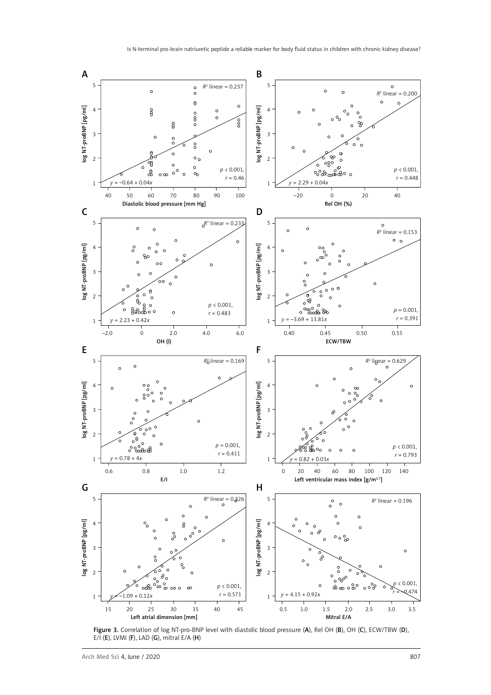

Figure 3. Correlation of log NT-pro-BNP level with diastolic blood pressure (A), Rel OH (B), OH (C), ECW/TBW (D), E/I (E), LVMI (F), LAD (G), mitral E/A (H)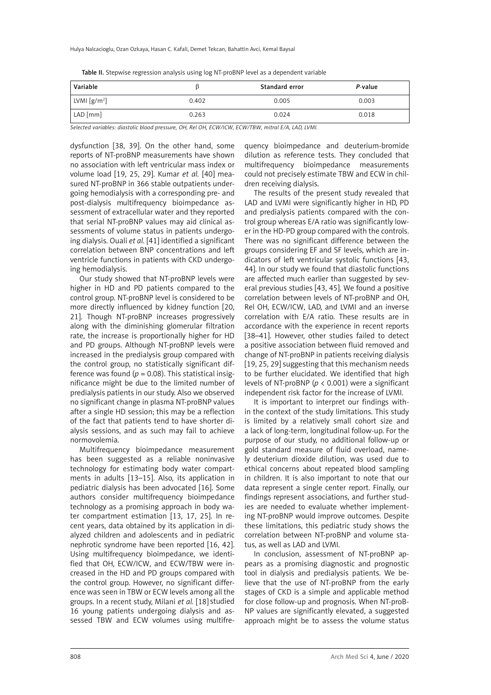|  |  |  | Table II. Stepwise regression analysis using log NT-proBNP level as a dependent variable |
|--|--|--|------------------------------------------------------------------------------------------|
|--|--|--|------------------------------------------------------------------------------------------|

| Variable                                            |       | Standard error | P-value |
|-----------------------------------------------------|-------|----------------|---------|
| $\lfloor$ LVMI $\lfloor$ g/m <sup>2</sup> $\rfloor$ | 0.402 | 0.005          | 0.003   |
| LAD [mm]                                            | 0.263 | 0.024          | 0.018   |

*Selected variables: diastolic blood pressure, OH, Rel OH, ECW/ICW, ECW/TBW, mitral E/A, LAD, LVMI.*

dysfunction [38, 39]. On the other hand, some reports of NT-proBNP measurements have shown no association with left ventricular mass index or volume load [19, 25, 29]. Kumar *et al.* [40] measured NT-proBNP in 366 stable outpatients undergoing hemodialysis with a corresponding pre- and post-dialysis multifrequency bioimpedance assessment of extracellular water and they reported that serial NT-proBNP values may aid clinical assessments of volume status in patients undergoing dialysis. Ouali *et al.* [41] identified a significant correlation between BNP concentrations and left ventricle functions in patients with CKD undergoing hemodialysis.

Our study showed that NT-proBNP levels were higher in HD and PD patients compared to the control group. NT-proBNP level is considered to be more directly influenced by kidney function [20, 21]. Though NT-proBNP increases progressively along with the diminishing glomerular filtration rate, the increase is proportionally higher for HD and PD groups. Although NT-proBNP levels were increased in the predialysis group compared with the control group, no statistically significant difference was found ( $p = 0.08$ ). This statistical insignificance might be due to the limited number of predialysis patients in our study. Also we observed no significant change in plasma NT-proBNP values after a single HD session; this may be a reflection of the fact that patients tend to have shorter dialysis sessions, and as such may fail to achieve normovolemia.

Multifrequency bioimpedance measurement has been suggested as a reliable noninvasive technology for estimating body water compartments in adults [13–15]. Also, its application in pediatric dialysis has been advocated [16]. Some authors consider multifrequency bioimpedance technology as a promising approach in body water compartment estimation [13, 17, 25]. In recent years, data obtained by its application in dialyzed children and adolescents and in pediatric nephrotic syndrome have been reported [16, 42]. Using multifrequency bioimpedance, we identified that OH, ECW/ICW, and ECW/TBW were increased in the HD and PD groups compared with the control group. However, no significant difference was seen in TBW or ECW levels among all the groups. In a recent study, Milani *et al.* [18] studied 16 young patients undergoing dialysis and assessed TBW and ECW volumes using multifrequency bioimpedance and deuterium-bromide dilution as reference tests. They concluded that multifrequency bioimpedance measurements could not precisely estimate TBW and ECW in children receiving dialysis.

The results of the present study revealed that LAD and LVMI were significantly higher in HD, PD and predialysis patients compared with the control group whereas E/A ratio was significantly lower in the HD-PD group compared with the controls. There was no significant difference between the groups considering EF and SF levels, which are indicators of left ventricular systolic functions [43, 44]. In our study we found that diastolic functions are affected much earlier than suggested by several previous studies [43, 45]. We found a positive correlation between levels of NT-proBNP and OH, Rel OH, ECW/ICW, LAD, and LVMI and an inverse correlation with E/A ratio. These results are in accordance with the experience in recent reports [38–41]. However, other studies failed to detect a positive association between fluid removed and change of NT-proBNP in patients receiving dialysis [19, 25, 29] suggesting that this mechanism needs to be further elucidated. We identified that high levels of NT-proBNP (*p* < 0.001) were a significant independent risk factor for the increase of LVMI.

It is important to interpret our findings within the context of the study limitations. This study is limited by a relatively small cohort size and a lack of long-term, longitudinal follow-up. For the purpose of our study, no additional follow-up or gold standard measure of fluid overload, namely deuterium dioxide dilution, was used due to ethical concerns about repeated blood sampling in children. It is also important to note that our data represent a single center report. Finally, our findings represent associations, and further studies are needed to evaluate whether implementing NT-proBNP would improve outcomes. Despite these limitations, this pediatric study shows the correlation between NT-proBNP and volume status, as well as LAD and LVMI.

In conclusion, assessment of NT-proBNP appears as a promising diagnostic and prognostic tool in dialysis and predialysis patients. We believe that the use of NT-proBNP from the early stages of CKD is a simple and applicable method for close follow-up and prognosis. When NT-proB-NP values are significantly elevated, a suggested approach might be to assess the volume status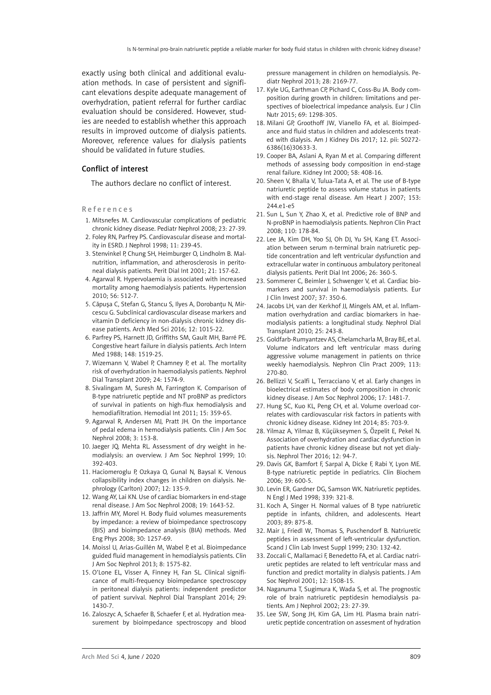exactly using both clinical and additional evaluation methods. In case of persistent and significant elevations despite adequate management of overhydration, patient referral for further cardiac evaluation should be considered. However, studies are needed to establish whether this approach results in improved outcome of dialysis patients. Moreover, reference values for dialysis patients should be validated in future studies.

## Conflict of interest

The authors declare no conflict of interest.

#### R e f e r e n c e s

- 1. Mitsnefes M. Cardiovascular complications of pediatric chronic kidney disease. Pediatr Nephrol 2008; 23: 27-39.
- 2. Foley RN, Parfrey PS. Cardiovascular disease and mortality in ESRD. J Nephrol 1998; 11: 239-45.
- 3. Stenvinkel P, Chung SH, Heimburger O, Lindholm B. Malnutrition, inflammation, and atherosclerosis in peritoneal dialysis patients. Perit Dial Int 2001; 21: 157-62.
- 4. Agarwal R. Hypervolaemia is associated with increased mortality among haemodialysis patients. Hypertension 2010; 56: 512-7.
- 5. Căpușa C, Stefan G, Stancu S, Ilyes A, Dorobantu N, Mircescu G. Subclinical cardiovascular disease markers and vitamin D deficiency in non-dialysis chronic kidney disease patients. Arch Med Sci 2016; 12: 1015-22.
- 6. Parfrey PS, Harnett JD, Griffiths SM, Gault MH, Barré PE. Congestive heart failure in dialysis patients. Arch Intern Med 1988; 148: 1519-25.
- 7. Wizemann V, Wabel P, Chamney P, et al. The mortality risk of overhydration in haemodialysis patients. Nephrol Dial Transplant 2009; 24: 1574-9.
- 8. Sivalingam M, Suresh M, Farrington K. Comparison of B-type natriuretic peptide and NT proBNP as predictors of survival in patients on high-flux hemodialysis and hemodiafiltration. Hemodial Int 2011; 15: 359-65.
- 9. Agarwal R, Andersen MJ, Pratt JH. On the importance of pedal edema in hemodialysis patients. Clin J Am Soc Nephrol 2008; 3: 153-8.
- 10. Jaeger JQ, Mehta RL. Assessment of dry weight in hemodialysis: an overview. J Am Soc Nephrol 1999; 10: 392-403.
- 11. Haciomeroglu P, Ozkaya O, Gunal N, Baysal K. Venous collapsibility index changes in children on dialysis. Nephrology (Carlton) 2007; 12: 135-9.
- 12. Wang AY, Lai KN. Use of cardiac biomarkers in end-stage renal disease. J Am Soc Nephrol 2008; 19: 1643-52.
- 13. Jaffrin MY, Morel H. Body fluid volumes measurements by impedance: a review of bioimpedance spectroscopy (BIS) and bioimpedance analysis (BIA) methods. Med Eng Phys 2008; 30: 1257-69.
- 14. Moissl U, Arias-Guillén M, Wabel P, et al. Bioimpedance guided fluid management in hemodialysis patients. Clin J Am Soc Nephrol 2013; 8: 1575-82.
- 15. O'Lone EL, Visser A, Finney H, Fan SL. Clinical significance of multi-frequency bioimpedance spectroscopy in peritoneal dialysis patients: independent predictor of patient survival. Nephrol Dial Transplant 2014; 29: 1430-7.
- 16. Zaloszyc A, Schaefer B, Schaefer F, et al. Hydration measurement by bioimpedance spectroscopy and blood

pressure management in children on hemodialysis. Pediatr Nephrol 2013; 28: 2169-77.

- 17. Kyle UG, Earthman CP, Pichard C, Coss-Bu JA. Body composition during growth in children: limitations and perspectives of bioelectrical impedance analysis. Eur J Clin Nutr 2015; 69: 1298-305.
- 18. Milani GP, Groothoff JW, Vianello FA, et al. Bioimpedance and fluid status in children and adolescents treated with dialysis. Am J Kidney Dis 2017; 12. pii: S0272- 6386(16)30633-3.
- 19. Cooper BA, Aslani A, Ryan M et al. Comparing different methods of assessing body composition in end-stage renal failure. Kidney Int 2000; 58: 408-16.
- 20. Sheen V, Bhalla V, Tulua-Tata A, et al. The use of B-type natriuretic peptide to assess volume status in patients with end-stage renal disease. Am Heart J 2007: 153: 244.e1-e5
- 21. Sun L, Sun Y, Zhao X, et al. Predictive role of BNP and N-proBNP in haemodialysis patients. Nephron Clin Pract 2008; 110: 178-84.
- 22. Lee JA, Kim DH, Yoo SJ, Oh DJ, Yu SH, Kang ET. Association between serum n-terminal brain natriuretic peptide concentration and left ventricular dysfunction and extracellular water in continuous ambulatory peritoneal dialysis patients. Perit Dial Int 2006; 26: 360-5.
- 23. Sommerer C, Beimler J, Schwenger V, et al. Cardiac biomarkers and survival in haemodialysis patients. Eur J Clin Invest 2007; 37: 350-6.
- 24. Jacobs LH, van der Kerkhof JJ, Mingels AM, et al. Inflammation overhydration and cardiac biomarkers in haemodialysis patients: a longitudinal study. Nephrol Dial Transplant 2010; 25: 243-8.
- 25. Goldfarb-Rumyantzev AS, Chelamcharla M, Bray BE, et al. Volume indicators and left ventricular mass during aggressive volume management in patients on thrice weekly haemodialysis. Nephron Clin Pract 2009; 113: 270-80.
- 26. Bellizzi V, Scalfi L, Terracciano V, et al. Early changes in bioelectrical estimates of body composition in chronic kidney disease. J Am Soc Nephrol 2006; 17: 1481-7.
- 27. Hung SC, Kuo KL, Peng CH, et al. Volume overload correlates with cardiovascular risk factors in patients with chronic kidney disease. Kidney Int 2014; 85: 703-9.
- 28. Yilmaz A, Yilmaz B, Küçükseymen S, Özpelit E, Pekel N. Association of overhydration and cardiac dysfunction in patients have chronic kidney disease but not yet dialysis. Nephrol Ther 2016; 12: 94-7.
- 29. Davis GK, Bamfort F, Sarpal A, Dicke F, Rabi Y, Lyon ME. B-type natriuretic peptide in pediatrics. Clin Biochem 2006; 39: 600-5.
- 30. Levin ER, Gardner DG, Samson WK. Natriuretic peptides. N Engl J Med 1998; 339: 321-8.
- 31. Koch A, Singer H. Normal values of B type natriuretic peptide in infants, children, and adolescents. Heart 2003; 89: 875-8.
- 32. Mair J, Friedl W, Thomas S, Puschendorf B. Natriuretic peptides in assessment of left-ventricular dysfunction. Scand J Clin Lab Invest Suppl 1999; 230: 132-42.
- 33. Zoccali C, Mallamaci F, Benedetto FA, et al. Cardiac natriuretic peptides are related to left ventricular mass and function and predict mortality in dialysis patients. J Am Soc Nephrol 2001; 12: 1508-15.
- 34. Naganuma T, Sugimura K, Wada S, et al. The prognostic role of brain natriuretic peptidesin hemodialysis patients. Am J Nephrol 2002; 23: 27-39.
- 35. Lee SW, Song JH, Kim GA, Lim HJ. Plasma brain natriuretic peptide concentration on assesment of hydration